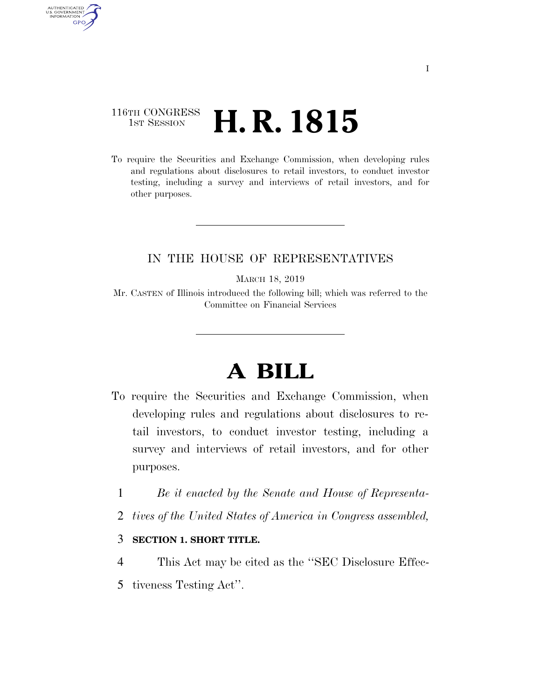## 116TH CONGRESS <sup>TH CONGRESS</sup> **H. R. 1815**

AUTHENTICATED<br>U.S. GOVERNMENT<br>INFORMATION

**GPO** 

To require the Securities and Exchange Commission, when developing rules and regulations about disclosures to retail investors, to conduct investor testing, including a survey and interviews of retail investors, and for other purposes.

### IN THE HOUSE OF REPRESENTATIVES

MARCH 18, 2019

Mr. CASTEN of Illinois introduced the following bill; which was referred to the Committee on Financial Services

# **A BILL**

- To require the Securities and Exchange Commission, when developing rules and regulations about disclosures to retail investors, to conduct investor testing, including a survey and interviews of retail investors, and for other purposes.
	- 1 *Be it enacted by the Senate and House of Representa-*
	- 2 *tives of the United States of America in Congress assembled,*

### 3 **SECTION 1. SHORT TITLE.**

4 This Act may be cited as the ''SEC Disclosure Effec-5 tiveness Testing Act''.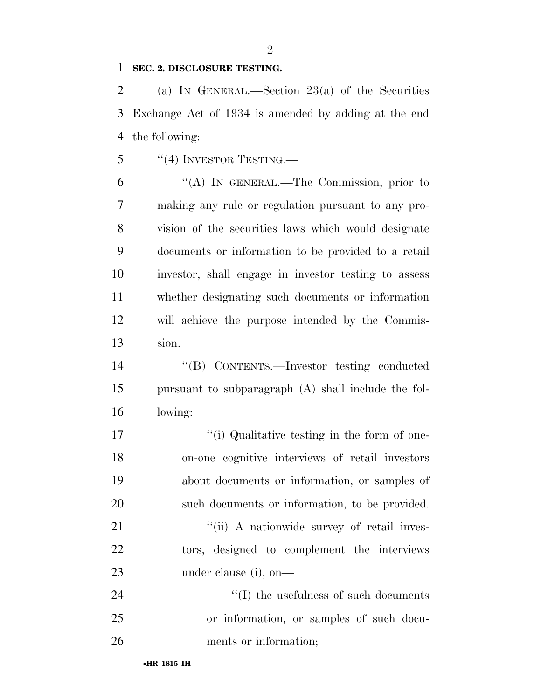#### **SEC. 2. DISCLOSURE TESTING.**

 (a) IN GENERAL.—Section 23(a) of the Securities Exchange Act of 1934 is amended by adding at the end the following:

"(4) INVESTOR TESTING.—

 ''(A) IN GENERAL.—The Commission, prior to making any rule or regulation pursuant to any pro- vision of the securities laws which would designate documents or information to be provided to a retail investor, shall engage in investor testing to assess whether designating such documents or information will achieve the purpose intended by the Commis-sion.

 ''(B) CONTENTS.—Investor testing conducted pursuant to subparagraph (A) shall include the fol-lowing:

17 ''(i) Qualitative testing in the form of one- on-one cognitive interviews of retail investors about documents or information, or samples of such documents or information, to be provided.

21 ''(ii) A nationwide survey of retail inves- tors, designed to complement the interviews under clause (i), on—

24  $\frac{1}{2}$  (I) the usefulness of such documents or information, or samples of such docu-ments or information;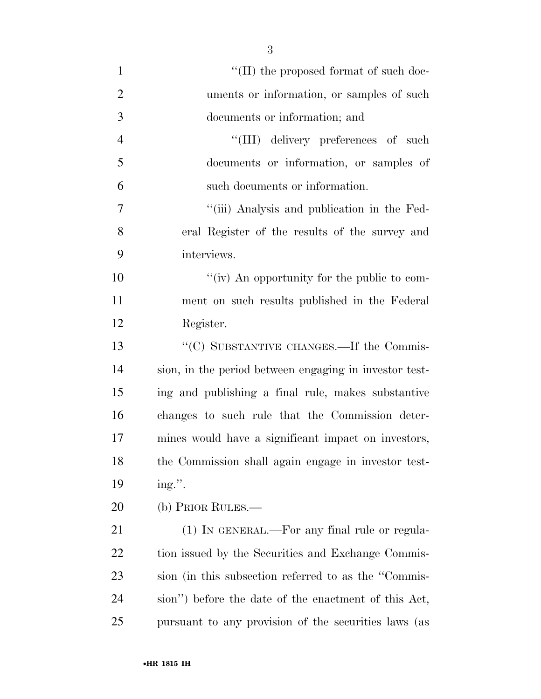| $\mathbf{1}$   | $``(II)$ the proposed format of such doc-              |
|----------------|--------------------------------------------------------|
| $\overline{2}$ | uments or information, or samples of such              |
| 3              | documents or information; and                          |
| $\overline{4}$ | "(III) delivery preferences of such                    |
| 5              | documents or information, or samples of                |
| 6              | such documents or information.                         |
| 7              | "(iii) Analysis and publication in the Fed-            |
| 8              | eral Register of the results of the survey and         |
| 9              | interviews.                                            |
| 10             | "(iv) An opportunity for the public to com-            |
| 11             | ment on such results published in the Federal          |
| 12             | Register.                                              |
| 13             | "(C) SUBSTANTIVE CHANGES.—If the Commis-               |
| 14             | sion, in the period between engaging in investor test- |
| 15             | ing and publishing a final rule, makes substantive     |
| 16             | changes to such rule that the Commission deter-        |
| 17             | mines would have a significant impact on investors,    |
| 18             | the Commission shall again engage in investor test-    |
| 19             | ing.".                                                 |
| 20             | (b) PRIOR RULES.-                                      |
| 21             | (1) IN GENERAL.—For any final rule or regula-          |
| 22             | tion issued by the Securities and Exchange Commis-     |
| 23             | sion (in this subsection referred to as the "Commis-   |

pursuant to any provision of the securities laws (as

sion'') before the date of the enactment of this Act,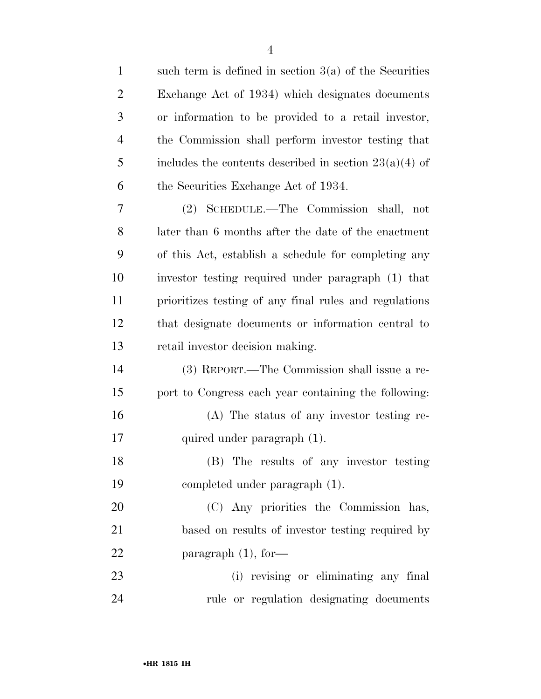| $\mathbf{1}$   | such term is defined in section $3(a)$ of the Securities |
|----------------|----------------------------------------------------------|
| $\overline{2}$ | Exchange Act of 1934) which designates documents         |
| 3              | or information to be provided to a retail investor,      |
| $\overline{4}$ | the Commission shall perform investor testing that       |
| 5              | includes the contents described in section $23(a)(4)$ of |
| 6              | the Securities Exchange Act of 1934.                     |
| 7              | (2) SCHEDULE.—The Commission shall, not                  |
| 8              | later than 6 months after the date of the enactment      |
| 9              | of this Act, establish a schedule for completing any     |
| 10             | investor testing required under paragraph (1) that       |
| 11             | prioritizes testing of any final rules and regulations   |
| 12             | that designate documents or information central to       |
| 13             | retail investor decision making.                         |
| 14             | (3) REPORT.—The Commission shall issue a re-             |
| 15             | port to Congress each year containing the following:     |
| 16             | (A) The status of any investor testing re-               |
| 17             | quired under paragraph (1).                              |
| 18             | (B) The results of any investor testing                  |
| 19             | completed under paragraph (1).                           |
| 20             | (C) Any priorities the Commission has,                   |
| 21             | based on results of investor testing required by         |
| 22             | paragraph $(1)$ , for-                                   |
| 23             | (i) revising or eliminating any final                    |
| 24             | rule or regulation designating documents                 |